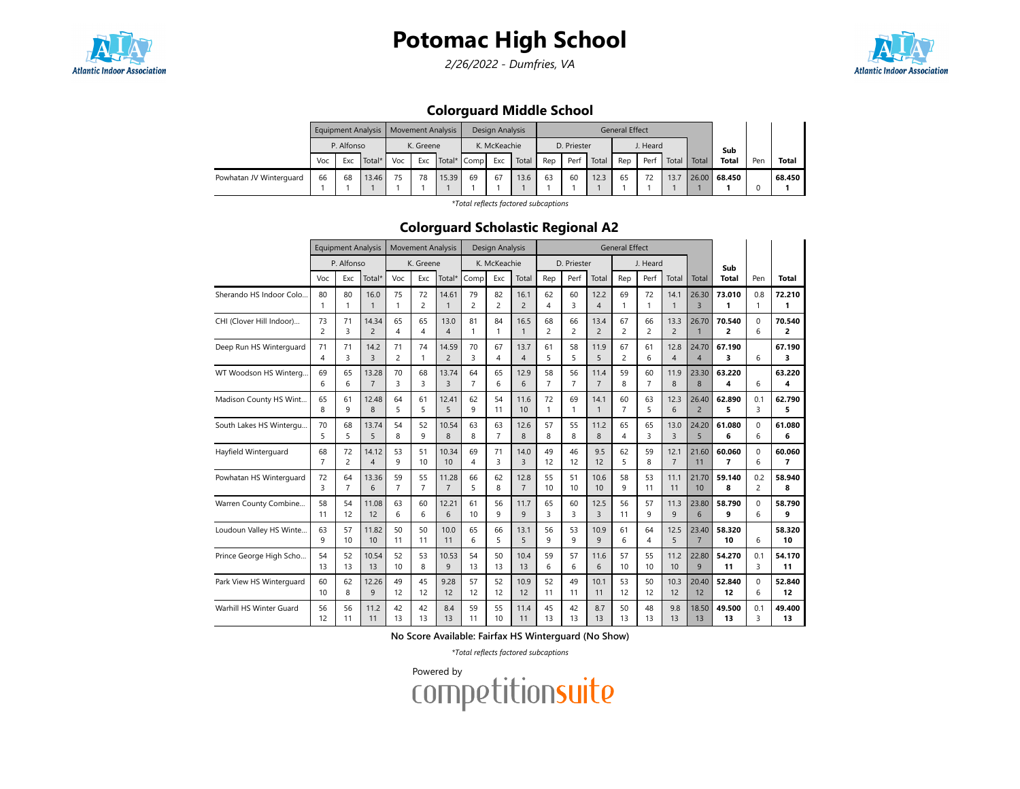

2/26/2022 - Dumfries, VA



### Colorguard Middle School

|                         |                          |    | Equipment Analysis |     | Movement Analysis |             |    | Design Analysis |       |     |             |       | <b>General Effect</b> |          |       |       |              |     |        |
|-------------------------|--------------------------|----|--------------------|-----|-------------------|-------------|----|-----------------|-------|-----|-------------|-------|-----------------------|----------|-------|-------|--------------|-----|--------|
|                         | P. Alfonso<br>Voc<br>Exc |    |                    |     | K. Greene         |             |    | K. McKeachie    |       |     | D. Priester |       |                       | J. Heard |       |       | Sub          |     |        |
|                         |                          |    | Total*             | Voc | Exc               | Total* Comp |    | Exc             | Total | Rep | Perf        | Total | Rep                   | Perf     | Total | Total | <b>Total</b> | Pen | Total  |
| Powhatan JV Winterguard | 66                       | 68 | 13.46              | 75  | 78                | 15.39       | 69 | 67              | 13.6  | 63  | 60          | 12.3  | 65                    |          | 13.7  |       | 26.00 68.450 |     | 68.450 |
|                         |                          |    |                    |     |                   |             |    |                 |       |     |             |       |                       |          |       |       |              |     |        |

\*Total reflects factored subcaptions

#### Colorguard Scholastic Regional A2

|                          |                      | <b>Equipment Analysis</b> |                         |                | <b>Movement Analysis</b> |                         |                      | Design Analysis |                        |                      |                      |                        | <b>General Effect</b> |                      |                        |                         |                          |          |                |
|--------------------------|----------------------|---------------------------|-------------------------|----------------|--------------------------|-------------------------|----------------------|-----------------|------------------------|----------------------|----------------------|------------------------|-----------------------|----------------------|------------------------|-------------------------|--------------------------|----------|----------------|
|                          |                      | P. Alfonso                |                         |                | K. Greene                |                         |                      | K. McKeachie    |                        |                      | D. Priester          |                        |                       | J. Heard             |                        |                         | Sub                      |          |                |
|                          | Voc                  | Exc                       | Total*                  | Voc            | Exc                      | Total*                  | Comp                 | Exc             | Total                  | Rep                  | Perf                 | Total                  | Rep                   | Perf                 | Total                  | Total                   | <b>Total</b>             | Pen      | Total          |
| Sherando HS Indoor Colo  | 80                   | 80                        | 16.0                    | 75             | 72                       | 14.61                   | 79                   | 82              | 16.1                   | 62                   | 60                   | 12.2                   | 69                    | 72                   | 14.1                   | 26.30                   | 73.010                   | 0.8      | 72.210         |
|                          | $\mathbf{1}$         | 1                         | $\mathbf{1}$            | $\mathbf{1}$   | 2                        | $\mathbf{1}$            | $\overline{c}$       | $\overline{c}$  | $\overline{2}$         | $\overline{4}$       | 3                    | $\overline{4}$         | $\mathbf{1}$          | 1                    | $\mathbf{1}$           | $\overline{3}$          | 1                        | 1        | 1              |
| CHI (Clover Hill Indoor) | 73                   | 71                        | 14.34                   | 65             | 65                       | 13.0                    | 81                   | 84              | 16.5                   | 68                   | 66                   | 13.4                   | 67                    | 66                   | 13.3                   | 26.70                   | 70.540                   | $\Omega$ | 70.540         |
|                          | $\overline{c}$       | 3                         | $\overline{2}$          | $\overline{4}$ | 4                        | $\overline{4}$          | $\mathbf{1}$         | 1               | $\mathbf{1}$           | $\overline{c}$       | 2                    | $\overline{2}$         | $\overline{c}$        | $\overline{c}$       | $\overline{2}$         | $\mathbf{1}$            | 2                        | 6        | 2              |
| Deep Run HS Winterguard  | 71<br>$\overline{4}$ | 71<br>3                   | 14.2<br>3               | 71<br>2        | 74<br>1                  | 14.59<br>$\overline{2}$ | 70<br>3              | 67<br>4         | 13.7<br>$\overline{4}$ | 61<br>5              | 58<br>5              | 11.9<br>5              | 67<br>$\overline{2}$  | 61<br>6              | 12.8<br>$\overline{4}$ | 24.70<br>$\overline{4}$ | 67.190<br>3              | 6        | 67.190<br>3    |
| WT Woodson HS Winterg    | 69<br>6              | 65<br>6                   | 13.28<br>$\overline{7}$ | 70<br>3        | 68<br>3                  | 13.74<br>$\overline{3}$ | 64<br>$\overline{7}$ | 65<br>6         | 12.9<br>6              | 58<br>$\overline{7}$ | 56<br>$\overline{7}$ | 11.4<br>$\overline{7}$ | 59<br>8               | 60<br>$\overline{7}$ | 11.9<br>8              | 23.30<br>8              | 63.220<br>4              | 6        | 63.220<br>4    |
| Madison County HS Wint   | 65                   | 61                        | 12.48                   | 64             | 61                       | 12.41                   | 62                   | 54              | 11.6                   | 72                   | 69                   | 14.1                   | 60                    | 63                   | 12.3                   | 26.40                   | 62.890                   | 0.1      | 62.790         |
|                          | 8                    | 9                         | 8                       | 5              | 5                        | 5                       | 9                    | 11              | 10                     | $\mathbf{1}$         | 1                    | $\mathbf{1}$           | $\overline{7}$        | 5                    | 6                      | $\overline{2}$          | 5                        | 3        | 5              |
| South Lakes HS Wintergu  | 70                   | 68                        | 13.74                   | 54             | 52                       | 10.54                   | 63                   | 63              | 12.6                   | 57                   | 55                   | 11.2                   | 65                    | 65                   | 13.0                   | 24.20                   | 61.080                   | $\Omega$ | 61.080         |
|                          | 5                    | 5                         | 5                       | 8              | 9                        | 8                       | 8                    | 7               | 8                      | 8                    | 8                    | 8                      | $\overline{4}$        | 3                    | $\overline{3}$         | 5                       | 6                        | 6        | 6              |
| Hayfield Winterguard     | 68                   | 72                        | 14.12                   | 53             | 51                       | 10.34                   | 69                   | 71              | 14.0                   | 49                   | 46                   | 9.5                    | 62                    | 59                   | 12.1                   | 21.60                   | 60.060                   | $\Omega$ | 60.060         |
|                          | $\overline{7}$       | $\overline{c}$            | $\overline{4}$          | 9              | 10                       | 10                      | $\overline{4}$       | 3               | 3                      | 12                   | 12                   | 12                     | 5                     | 8                    | $\overline{7}$         | 11                      | $\overline{\phantom{a}}$ | 6        | $\overline{7}$ |
| Powhatan HS Winterguard  | 72                   | 64                        | 13.36                   | 59             | 55                       | 11.28                   | 66                   | 62              | 12.8                   | 55                   | 51                   | 10.6                   | 58                    | 53                   | 11.1                   | 21.70                   | 59.140                   | 0.2      | 58.940         |
|                          | 3                    | 7                         | 6                       | $\overline{7}$ | $\overline{7}$           | $\overline{7}$          | 5                    | 8               | $\overline{7}$         | 10                   | 10                   | 10                     | 9                     | 11                   | 11                     | 10                      | 8                        | 2        | 8              |
| Warren County Combine    | 58                   | 54                        | 11.08                   | 63             | 60                       | 12.21                   | 61                   | 56              | 11.7                   | 65                   | 60                   | 12.5                   | 56                    | 57                   | 11.3                   | 23.80                   | 58.790                   | 0        | 58.790         |
|                          | 11                   | 12                        | 12                      | 6              | 6                        | 6                       | 10                   | 9               | 9                      | 3                    | 3                    | $\overline{3}$         | 11                    | 9                    | 9                      | 6                       | 9                        | 6        | 9              |
| Loudoun Valley HS Winte. | 63<br>9              | 57<br>10                  | 11.82<br>10             | 50<br>11       | 50<br>11                 | 10.0<br>11              | 65<br>6              | 66<br>5         | 13.1<br>5              | 56<br>9              | 53<br>9              | 10.9<br>9              | 61<br>6               | 64<br>4              | 12.5<br>5              | 23.40<br>$\overline{7}$ | 58.320<br>10             | 6        | 58.320<br>10   |
| Prince George High Scho  | 54                   | 52                        | 10.54                   | 52             | 53                       | 10.53                   | 54                   | 50              | 10.4                   | 59                   | 57                   | 11.6                   | 57                    | 55                   | 11.2                   | 22.80                   | 54.270                   | 0.1      | 54.170         |
|                          | 13                   | 13                        | 13                      | 10             | 8                        | 9                       | 13                   | 13              | 13                     | 6                    | 6                    | 6                      | 10                    | 10                   | 10                     | 9                       | 11                       | 3        | 11             |
| Park View HS Winterguard | 60                   | 62                        | 12.26                   | 49             | 45                       | 9.28                    | 57                   | 52              | 10.9                   | 52                   | 49                   | 10.1                   | 53                    | 50                   | 10.3                   | 20.40                   | 52.840                   | $\Omega$ | 52.840         |
|                          | 10                   | 8                         | 9                       | 12             | 12                       | 12                      | 12                   | 12              | 12                     | 11                   | 11                   | 11                     | 12                    | 12                   | 12                     | 12                      | 12                       | 6        | 12             |
| Warhill HS Winter Guard  | 56                   | 56                        | 11.2                    | 42             | 42                       | 8.4                     | 59                   | 55              | 11.4                   | 45                   | 42                   | 8.7                    | 50                    | 48                   | 9.8                    | 18.50                   | 49.500                   | 0.1      | 49.400         |
|                          | 12                   | 11                        | 11                      | 13             | 13                       | 13                      | 11                   | 10              | 11                     | 13                   | 13                   | 13                     | 13                    | 13                   | 13                     | 13                      | 13                       | 3        | 13             |

No Score Available: Fairfax HS Winterguard (No Show)

\*Total reflects factored subcaptions

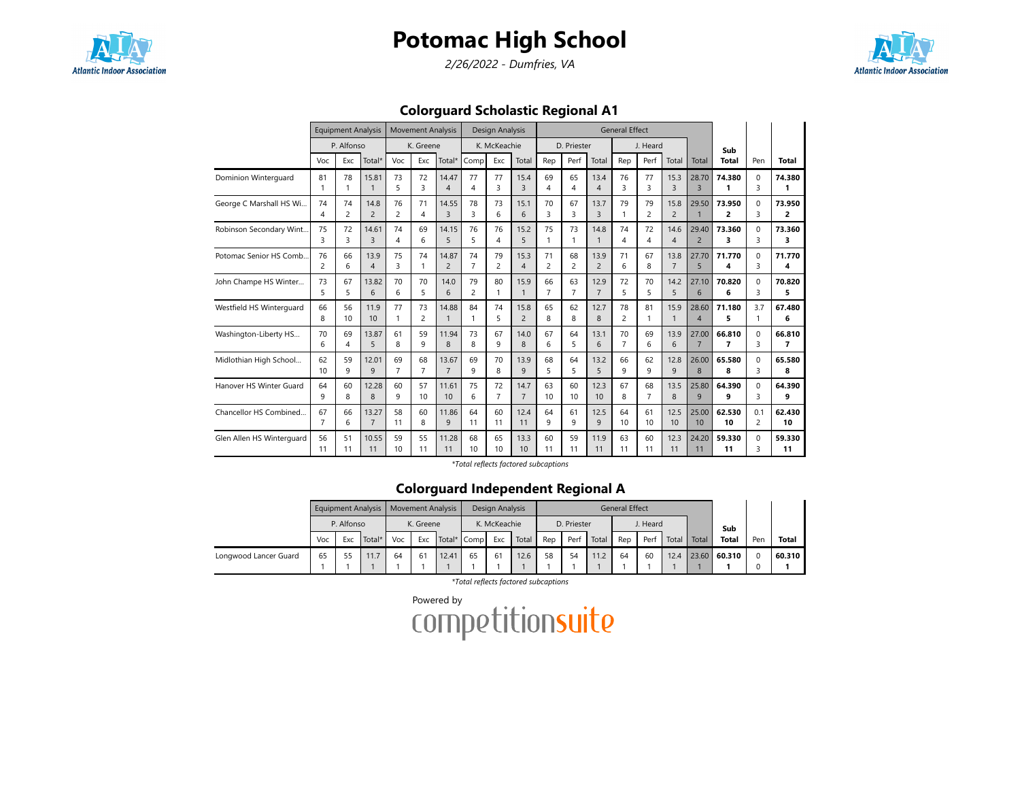

2/26/2022 - Dumfries, VA



Colorguard Scholastic Regional A1

|                           |                | <b>Equipment Analysis</b> |                        |                      | <b>Movement Analysis</b> |                         |                  | Design Analysis |                        |                |                |                        | <b>General Effect</b> |                |                        |                         |                |                |             |
|---------------------------|----------------|---------------------------|------------------------|----------------------|--------------------------|-------------------------|------------------|-----------------|------------------------|----------------|----------------|------------------------|-----------------------|----------------|------------------------|-------------------------|----------------|----------------|-------------|
|                           |                | P. Alfonso                |                        |                      | K. Greene                |                         |                  | K. McKeachie    |                        |                | D. Priester    |                        |                       | J. Heard       |                        |                         | Sub            |                |             |
|                           | Voc            | Exc                       | Total*                 | Voc                  | Exc                      | Total*                  | Comp             | Exc             | Total                  | Rep            | Perf           | Total                  | Rep                   | Perf           | Total                  | Total                   | <b>Total</b>   | Pen            | Total       |
| Dominion Winterquard      | 81<br>1        | 78<br>1                   | 15.81<br>$\mathbf{1}$  | 73<br>5              | 72<br>3                  | 14.47<br>Δ              | 77<br>4          | 77<br>3         | 15.4<br>3              | 69<br>4        | 65<br>4        | 13.4<br>$\overline{4}$ | 76<br>3               | 77<br>3        | 15.3<br>$\overline{3}$ | 28.70<br>$\overline{3}$ | 74.380<br>1    | $\Omega$<br>3  | 74.380      |
| George C Marshall HS Wi   | 74<br>4        | 74<br>2                   | 14.8<br>$\overline{2}$ | 76<br>$\overline{c}$ | 71<br>4                  | 14.55<br>$\overline{3}$ | 78<br>3          | 73<br>6         | 15.1<br>6              | 70<br>3        | 67<br>3        | 13.7<br>$\overline{3}$ | 79                    | 79<br>2        | 15.8<br>$\overline{2}$ | 29.50<br>$\mathbf{1}$   | 73.950<br>2    | $\Omega$<br>3  | 73.950<br>2 |
| Robinson Secondary Wint   | 75             | 72                        | 14.61                  | 74                   | 69                       | 14.15                   | 76               | 76              | 15.2                   | 75             | 73             | 14.8                   | 74                    | 72             | 14.6                   | 29.40                   | 73.360         | $\Omega$       | 73.360      |
|                           | 3              | 3                         | $\overline{3}$         | 4                    | 6                        | 5                       | 5                | 4               | 5                      | 1              | 1              | 1                      | 4                     | 4              | $\overline{4}$         | $\overline{2}$          | 3              | 3              | 3           |
| Potomac Senior HS Comb.   | 76             | 66                        | 13.9                   | 75                   | 74                       | 14.87                   | 74               | 79              | 15.3                   | 71             | 68             | 13.9                   | 71                    | 67             | 13.8                   | 27.70                   | 71.770         | $\Omega$       | 71.770      |
|                           | 2              | 6                         | $\overline{4}$         | 3                    | $\mathbf{1}$             | $\overline{2}$          | $\overline{7}$   | $\overline{2}$  | $\overline{4}$         | $\overline{c}$ | $\overline{c}$ | $\overline{2}$         | 6                     | 8              | $\overline{7}$         | 5                       | 4              | 3              | 4           |
| John Champe HS Winter     | 73             | 67                        | 13.82                  | 70                   | 70                       | 14.0                    | 79               | 80              | 15.9                   | 66             | 63             | 12.9                   | 72                    | 70             | 14.2                   | 27.10                   | 70.820         | $\Omega$       | 70.820      |
|                           | 5              | 5                         | 6                      | 6                    | 5                        | 6                       | 2                | 1               | $\mathbf{1}$           | $\overline{7}$ | $\overline{7}$ | $\overline{7}$         | 5                     | 5              | 5                      | 6                       | 6              | 3              | 5.          |
| Westfield HS Winterguard  | 66<br>8        | 56<br>10                  | 11.9<br>10             | 77<br>1              | 73<br>$\overline{c}$     | 14.88<br>$\mathbf{1}$   | 84               | 74<br>5         | 15.8<br>$\overline{c}$ | 65<br>8        | 62<br>8        | 12.7<br>8              | 78<br>$\overline{2}$  | 81<br>1        | 15.9<br>$\mathbf{1}$   | 28.60<br>$\overline{4}$ | 71.180<br>5    | 3.7<br>1       | 67.480<br>6 |
| Washington-Liberty HS     | 70             | 69                        | 13.87                  | 61                   | 59                       | 11.94                   | 73               | 67              | 14.0                   | 67             | 64             | 13.1                   | 70                    | 69             | 13.9                   | 27.00                   | 66.810         | $\Omega$       | 66.810      |
|                           | 6              | 4                         | 5                      | 8                    | 9                        | 8                       | 8                | 9               | 8                      | 6              | 5              | 6                      | $\overline{7}$        | 6              | 6                      | $\overline{7}$          | $\overline{7}$ | 3              | 7           |
| Midlothian High School    | 62             | 59                        | 12.01                  | 69                   | 68                       | 13.67                   | 69               | 70              | 13.9                   | 68             | 64             | 13.2                   | 66                    | 62             | 12.8                   | 26.00                   | 65.580         | $\Omega$       | 65.580      |
|                           | 10             | 9                         | 9                      | $\overline{7}$       | $\overline{7}$           | $\overline{7}$          | q                | 8               | 9                      | 5              | 5              | $\overline{5}$         | q                     | 9              | 9                      | 8                       | 8              | ₹              | 8           |
| Hanover HS Winter Guard   | 64             | 60                        | 12.28                  | 60                   | 57                       | 11.61                   | 75               | 72              | 14.7                   | 63             | 60             | 12.3                   | 67                    | 68             | 13.5                   | 25.80                   | 64.390         | $\Omega$       | 64.390      |
|                           | 9              | 8                         | 8                      | 9                    | 10                       | 10                      | 6                | $\overline{7}$  | $\overline{7}$         | 10             | 10             | 10                     | 8                     | $\overline{7}$ | 8                      | 9                       | 9              | ς              | 9           |
| Chancellor HS Combined    | 67             | 66                        | 13.27                  | 58                   | 60                       | 11.86                   | 64               | 60              | 12.4                   | 64             | 61             | 12.5                   | 64                    | 61             | 12.5                   | 25.00                   | 62.530         | 0.1            | 62.430      |
|                           | $\overline{7}$ | 6                         | $\overline{7}$         | 11                   | 8                        | 9                       | 11               | 11              | 11                     | 9              | q              | $\mathsf{q}$           | 10                    | 10             | 10                     | 10                      | 10             | $\overline{2}$ | 10          |
| Glen Allen HS Winterguard | 56             | 51                        | 10.55                  | 59                   | 55                       | 11.28                   | 68               | 65              | 13.3                   | 60             | 59             | 11.9                   | 63                    | 60             | 12.3                   | 24.20                   | 59.330         | $\Omega$       | 59.330      |
|                           | 11             | 11                        | 11                     | 10 <sup>10</sup>     | 11                       | 11                      | 10 <sup>10</sup> | 10              | 10                     | 11             | 11             | 11                     | 11                    | 11             | 11                     | 11                      | 11             | ς              | 11          |

\*Total reflects factored subcaptions

#### Colorguard Independent Regional A

|                       |    |                          | Equipment Analysis   Movement Analysis |     |           |             |    | Design Analysis |       |     |             |       | <b>General Effect</b> |          |       |       |              |     |              |
|-----------------------|----|--------------------------|----------------------------------------|-----|-----------|-------------|----|-----------------|-------|-----|-------------|-------|-----------------------|----------|-------|-------|--------------|-----|--------------|
|                       |    | P. Alfonso<br>Voc<br>Exc |                                        |     | K. Greene |             |    | K. McKeachie    |       |     | D. Priester |       |                       | J. Heard |       |       | Sub          |     |              |
|                       |    |                          | Total*                                 | Voc | Exc       | Total* Comp |    | Exc             | Total | Rep | Perf        | Total | Rep                   | Perf     | Total | Total | <b>Total</b> | Pen | <b>Total</b> |
| Longwood Lancer Guard | 65 |                          | 11.7                                   | 64  | 61        | 12.41       | 65 | 61              | 12.6  | 58  | 54          | 11.2  | 64                    | 60       | 12.4  |       | 23.60 60.310 |     | 60.310       |
|                       |    |                          |                                        |     |           |             |    |                 |       |     |             |       |                       |          |       |       |              |     |              |

\*Total reflects factored subcaptions

Powered by<br>COMPetitionsuite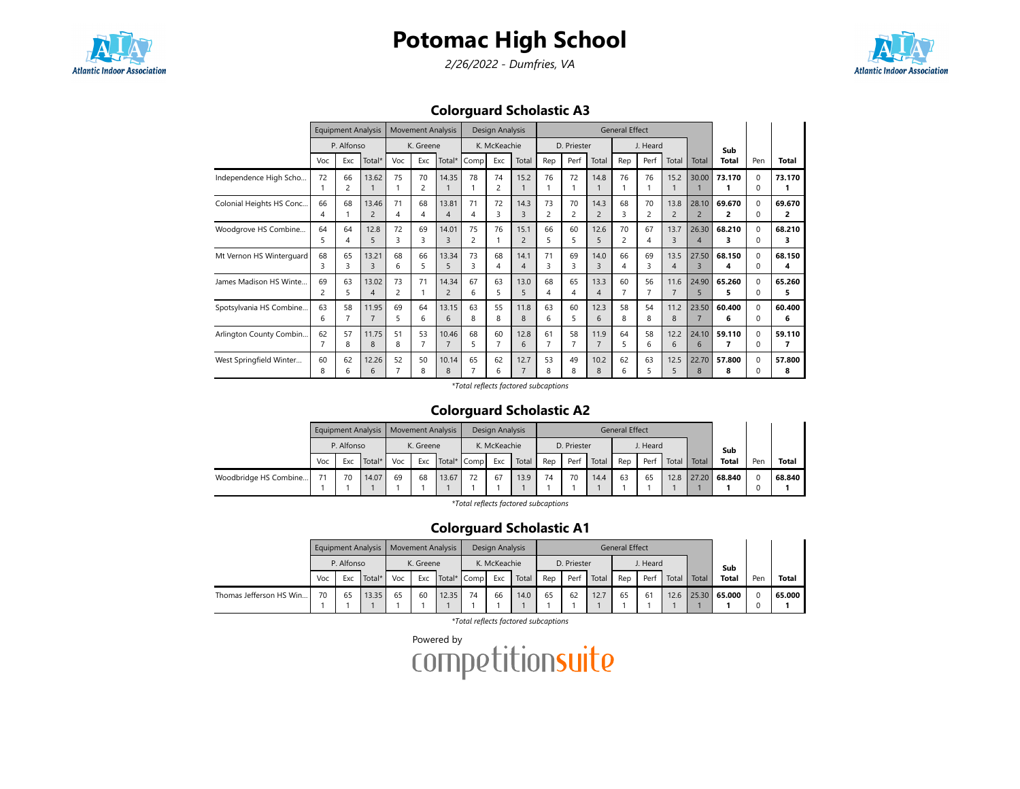

2/26/2022 - Dumfries, VA



Colorguard Scholastic A3

|                          |         | <b>Equipment Analysis</b> |                         |         | <b>Movement Analysis</b> |                                   |         | Design Analysis |                        |         |             |                        | <b>General Effect</b> |                      |                        |                                  |              |                          |             |
|--------------------------|---------|---------------------------|-------------------------|---------|--------------------------|-----------------------------------|---------|-----------------|------------------------|---------|-------------|------------------------|-----------------------|----------------------|------------------------|----------------------------------|--------------|--------------------------|-------------|
|                          |         | P. Alfonso                |                         |         | K. Greene                |                                   |         | K. McKeachie    |                        |         | D. Priester |                        |                       | J. Heard             |                        |                                  | Sub          |                          |             |
|                          | Voc     | Exc                       | Total*                  | Voc     | Exc                      | Total*                            | Comp    | Exc             | Total                  | Rep     | Perf        | Total                  | Rep                   | Perf                 | Total                  | Total                            | <b>Total</b> | Pen                      | Total       |
| Independence High Scho   | 72      | 66<br>2                   | 13.62                   | 75      | 70<br>$\overline{c}$     | 14.35                             | 78      | 74<br>2         | 15.2                   | 76      | 72          | 14.8                   | 76                    | 76                   | 15.2                   | 30.00                            | 73.170       | 0<br>$\Omega$            | 73.170      |
| Colonial Heights HS Conc | 66<br>4 | 68                        | 13.46<br>$\overline{2}$ | 71<br>4 | 68<br>4                  | 13.81<br>$\boldsymbol{\varDelta}$ | 71      | 72<br>3         | 14.3<br>3              | 73<br>2 | 70<br>2     | 14.3<br>$\overline{2}$ | 68                    | 70<br>$\overline{c}$ | 13.8<br>$\overline{2}$ | 28.10<br>$\overline{2}$          | 69.670<br>2  | $\Omega$<br>$\Omega$     | 69.670<br>2 |
| Woodgrove HS Combine     | 64<br>5 | 64<br>4                   | 12.8<br>5               | 72<br>3 | 69<br>3                  | 14.01<br>3                        | 75<br>2 | 76              | 15.1<br>$\overline{2}$ | 66<br>5 | 60<br>5     | 12.6<br>5              | 70<br>2               | 67<br>4              | 13.7<br>3              | 26.30<br>$\overline{4}$          | 68.210<br>3  | $\Omega$<br>$\Omega$     | 68.210<br>3 |
| Mt Vernon HS Winterguard | 68<br>3 | 65<br>3                   | 13.21<br>3              | 68<br>6 | 66<br>5                  | 13.34<br>5                        | 73<br>3 | 68<br>4         | 14.1<br>4              | 71<br>3 | 69<br>3     | 14.0<br>$\overline{3}$ | 66<br>4               | 69<br>3              | 13.5<br>4              | 27.50<br>$\overline{\mathbf{3}}$ | 68.150<br>4  | $\Omega$<br><sup>0</sup> | 68.150<br>4 |
| James Madison HS Winte   | 69<br>2 | 63<br>5                   | 13.02<br>4              | 73<br>2 | 71                       | 14.34<br>2                        | 67<br>6 | 63<br>5         | 13.0<br>5              | 68<br>4 | 65<br>4     | 13.3<br>$\overline{4}$ | 60                    | 56<br>7              | 11.6<br>$\overline{7}$ | 24.90<br>5                       | 65.260<br>5  | $\Omega$<br>$\Omega$     | 65.260<br>5 |
| Spotsylvania HS Combine  | 63<br>6 | 58                        | 11.95<br>$\overline{7}$ | 69<br>5 | 64<br>6                  | 13.15<br>$\epsilon$               | 63<br>8 | 55<br>8         | 11.8<br>8              | 63<br>6 | 60<br>5     | 12.3<br>$\epsilon$     | 58<br>8               | 54<br>8              | 11.2<br>8              | 23.50                            | 60.400<br>6  | $\Omega$<br>$\Omega$     | 60.400<br>6 |
| Arlington County Combin  | 62      | 57<br>8                   | 11.75<br>8              | 51<br>8 | 53<br>7                  | 10.46<br>$\overline{7}$           | 68<br>5 | 60<br>7         | 12.8<br>6              | 61<br>7 | 58<br>7     | 11.9<br>7              | 64<br>5               | 58<br>6              | 12.2<br>6              | 24.10<br>6                       | 59.110<br>7  | $\Omega$<br>$\Omega$     | 59.110<br>7 |
| West Springfield Winter  | 60<br>8 | 62<br>6                   | 12.26<br>6              | 52      | 50<br>8                  | 10.14<br>8                        | 65      | 62<br>6         | 12.7<br>$\overline{7}$ | 53<br>8 | 49<br>8     | 10.2<br>8              | 62<br>6               | 63<br>5              | 12.5<br>5              | 22.70<br>8                       | 57.800<br>8  | 0<br><sup>0</sup>        | 57.800<br>8 |

\*Total reflects factored subcaptions

#### Colorguard Scholastic A2

|                       |                      |            |       |     |           | Equipment Analysis   Movement Analysis |    | Design Analysis |       |     |             |       | <b>General Effect</b> |          |       |       |              |     |              |
|-----------------------|----------------------|------------|-------|-----|-----------|----------------------------------------|----|-----------------|-------|-----|-------------|-------|-----------------------|----------|-------|-------|--------------|-----|--------------|
|                       |                      | P. Alfonso |       |     | K. Greene |                                        |    | K. McKeachie    |       |     | D. Priester |       |                       | J. Heard |       |       | Sub          |     |              |
|                       | Total*<br>Voc<br>Exc |            |       | Voc | Exc       | Total* Comp                            |    | Exc             | Total | Rep | Perf        | Total | Rep                   | Perf     | Total | Total | <b>Total</b> | Pen | <b>Total</b> |
| Woodbridge HS Combine |                      | 70         | 14.07 | 69  | 68        | 13.67                                  | 72 | 67              | 13.9  | 74  | 70          | 14.4  | 63                    | 65       | 12.8  | 27.20 | 68.840       |     | 68.840       |
|                       |                      |            |       |     |           |                                        |    |                 |       |     |             |       |                       |          |       |       |              |     |              |

\*Total reflects factored subcaptions

### Colorguard Scholastic A1

|                         |                      | <b>Equipment Analysis</b> |       |     |           | Movement Analysis |    | Design Analysis |       |     |             |       | <b>General Effect</b> |          |       |       |              |     |              |
|-------------------------|----------------------|---------------------------|-------|-----|-----------|-------------------|----|-----------------|-------|-----|-------------|-------|-----------------------|----------|-------|-------|--------------|-----|--------------|
|                         |                      | P. Alfonso                |       |     | K. Greene |                   |    | K. McKeachie    |       |     | D. Priester |       |                       | J. Heard |       |       | Sub          |     |              |
|                         | Total*<br>Voc<br>Exc |                           |       | Voc | Exc       | Total* Comp       |    | Exc             | Total | Rep | Perf        | Total | Rep                   | Perf     | Total | Total | <b>Total</b> | Pen | <b>Total</b> |
| Thomas Jefferson HS Win | 70                   | 65                        | 13.35 | 65  | 60        | 12.35             | 74 | 66              | 14.0  | 65  | 62          | 12.7  | 65                    | 61       | 12.6  |       | 25.30 65.000 |     | 65.000       |
|                         |                      |                           |       |     |           |                   |    |                 |       |     |             |       |                       |          |       |       |              |     |              |

\*Total reflects factored subcaptions

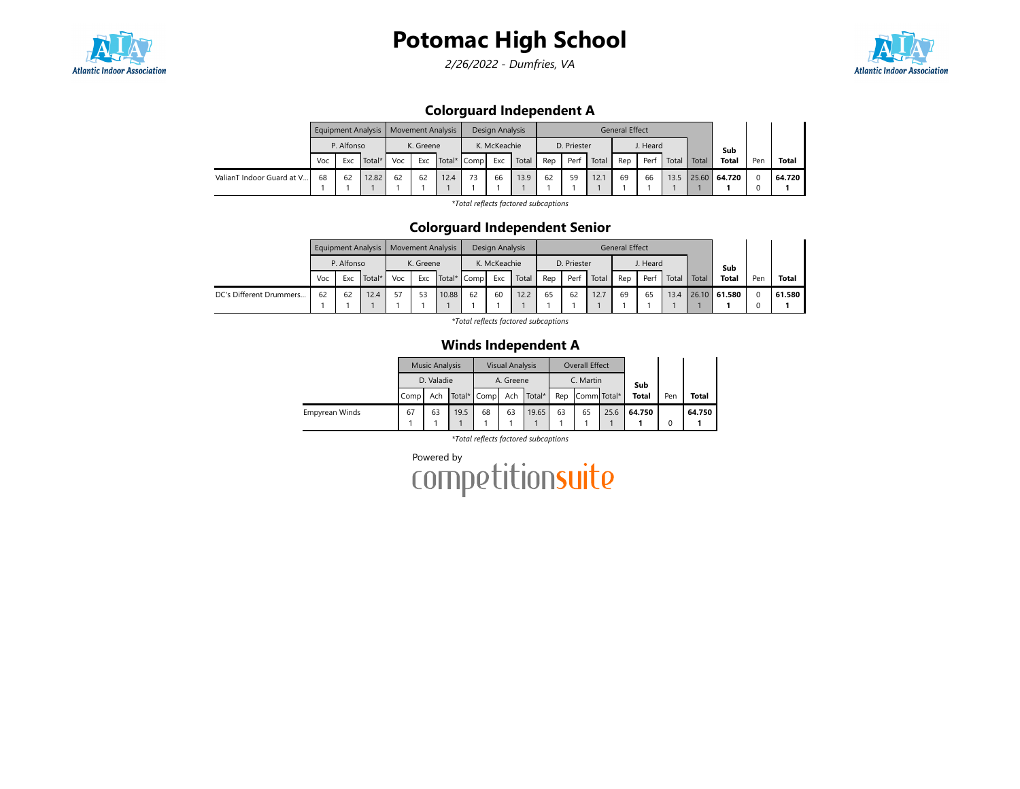

2/26/2022 - Dumfries, VA



### Colorguard Independent A

|                           |                          |    | <b>Equipment Analysis</b> |     | <b>Movement Analysis</b> |             |    | Design Analysis |       |     |             |       | <b>General Effect</b> |          |       |       |              |     |              |
|---------------------------|--------------------------|----|---------------------------|-----|--------------------------|-------------|----|-----------------|-------|-----|-------------|-------|-----------------------|----------|-------|-------|--------------|-----|--------------|
|                           | P. Alfonso<br>Voc<br>Exc |    |                           |     | K. Greene                |             |    | K. McKeachie    |       |     | D. Priester |       |                       | J. Heard |       |       | Sub          |     |              |
|                           |                          |    | Total*                    | Voc | Exc                      | Total* Comp |    | Exc             | Total | Rep | Perf        | Total | Rep                   | Perf     | Total | Total | <b>Total</b> | Pen | <b>Total</b> |
| ValianT Indoor Guard at V | 68                       | 62 | 12.82                     | 62  | 62                       | 12.4        | 72 | 66              | 13.9  | 62  | 59          | 12.1  | 69                    | 66       | 13.5  | 25.60 | 64.720       |     | 64.720       |
|                           |                          |    |                           |     |                          |             |    |                 |       |     |             |       |                       |          |       |       |              |     |              |

\*Total reflects factored subcaptions

#### Colorguard Independent Senior

|                         |                          |    | Equipment Analysis   Movement Analysis |     |           |       |             | Design Analysis |       |     |             |       | General Effect |          |       |       |              |          |              |
|-------------------------|--------------------------|----|----------------------------------------|-----|-----------|-------|-------------|-----------------|-------|-----|-------------|-------|----------------|----------|-------|-------|--------------|----------|--------------|
|                         | P. Alfonso<br>Voc<br>Exc |    |                                        |     | K. Greene |       |             | K. McKeachie    |       |     | D. Priester |       |                | J. Heard |       |       | Sub          |          |              |
|                         |                          |    | Total*                                 | Voc | Exc       |       | Total* Comp | Exc             | Total | Rep | Perf        | Total | Rep            | Perf     | Total | Total | <b>Total</b> | Pen      | <b>Total</b> |
| DC's Different Drummers | 62                       | 62 | 12.4                                   | 57  | 53        | 10.88 | 62          | 60              | 12.2  | 65  | 62          | 12.7  | 69             | 65       | 13.4  |       | 26.10 61.580 | $\Omega$ | 61.580       |
|                         |                          |    |                                        |     |           |       |             |                 |       |     |             |       |                |          |       |       |              |          |              |

\*Total reflects factored subcaptions

### Winds Independent A

|                |                                 | <b>Music Analysis</b> |  |  | <b>Visual Analysis</b> |        |     | Overall Effect |      |              |     |              |
|----------------|---------------------------------|-----------------------|--|--|------------------------|--------|-----|----------------|------|--------------|-----|--------------|
|                |                                 | D. Valadie            |  |  | A. Greene              |        |     | C. Martin      |      | Sub          |     |              |
|                | Comp                            | Ach                   |  |  | Ach                    | Total* | Rep | Comm Total*    |      | <b>Total</b> | Pen | <b>Total</b> |
| Empyrean Winds | Total* Comp<br>67<br>63<br>19.5 |                       |  |  | 63                     | 19.65  | 63  | 65             | 25.6 | 64.750       | 0   | 64.750       |

\*Total reflects factored subcaptions

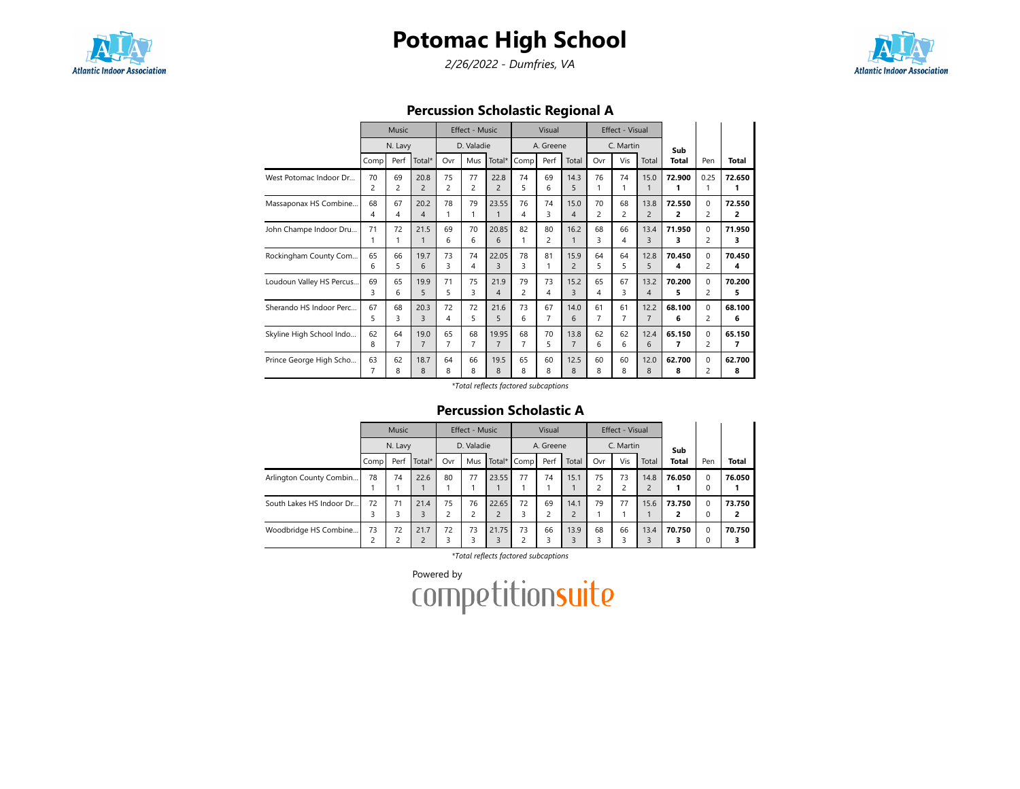

2/26/2022 - Dumfries, VA



Percussion Scholastic Regional A

|                          |                      | Music   |                        |         | Effect - Music       |                        |                | Visual               |                |                | Effect - Visual |                |             |                            |             |
|--------------------------|----------------------|---------|------------------------|---------|----------------------|------------------------|----------------|----------------------|----------------|----------------|-----------------|----------------|-------------|----------------------------|-------------|
|                          |                      | N. Lavy |                        |         | D. Valadie           |                        |                | A. Greene            |                |                | C. Martin       |                | Sub         |                            |             |
|                          | Comp                 | Perf    | Total*                 | Ovr     | Mus                  | Total*                 | Comp           | Perf                 | Total          | Ovr            | Vis             | Total          | Total       | Pen                        | Total       |
| West Potomac Indoor Dr   | 70<br>$\overline{c}$ | 69<br>2 | 20.8<br>$\overline{2}$ | 75<br>2 | 77<br>$\overline{c}$ | 22.8<br>$\overline{2}$ | 74<br>5        | 69<br>6              | 14.3<br>5      | 76<br>1        | 74              | 15.0           | 72.900<br>1 | 0.25<br>1                  | 72.650<br>1 |
| Massaponax HS Combine    | 68                   | 67      | 20.2                   | 78      | 79                   | 23.55                  | 76             | 74                   | 15.0           | 70             | 68              | 13.8           | 72.550      | $\Omega$                   | 72.550      |
|                          | 4                    | 4       | 4                      | 1       | 1                    | 1                      | 4              | 3                    | 4              | $\overline{2}$ | $\overline{c}$  | $\overline{2}$ | 2           | 2                          | 2           |
| John Champe Indoor Dru   | 71<br>1              | 72      | 21.5<br>$\mathbf{1}$   | 69<br>6 | 70<br>6              | 20.85<br>6             | 82             | 80<br>$\overline{c}$ | 16.2<br>1      | 68<br>3        | 66<br>4         | 13.4<br>3      | 71.950<br>3 | $\Omega$<br>$\overline{c}$ | 71.950<br>3 |
| Rockingham County Com    | 65                   | 66      | 19.7                   | 73      | 74                   | 22.05                  | 78             | 81                   | 15.9           | 64             | 64              | 12.8           | 70.450      | $\Omega$                   | 70.450      |
|                          | 6                    | 5       | 6                      | 3       | 4                    | 3                      | 3              | 1                    | $\overline{2}$ | 5              | 5               | 5              | 4           | 2                          | 4           |
| Loudoun Valley HS Percus | 69                   | 65      | 19.9                   | 71      | 75                   | 21.9                   | 79             | 73                   | 15.2           | 65             | 67              | 13.2           | 70.200      | $\Omega$                   | 70.200      |
|                          | 3                    | 6       | 5                      | 5       | 3                    | $\overline{4}$         | 2              | 4                    | 3              | 4              | 3               | 4              | 5           | 2                          | 5           |
| Sherando HS Indoor Perc  | 67                   | 68      | 20.3                   | 72      | 72                   | 21.6                   | 73             | 67                   | 14.0           | 61             | 61              | 12.2           | 68.100      | $\Omega$                   | 68.100      |
|                          | 5                    | 3       | $\mathbf{R}$           | 4       | 5                    | 5                      | 6              | $\overline{7}$       | 6              | $\overline{7}$ | 7               | $\overline{7}$ | 6           | 2                          | 6           |
| Skyline High School Indo | 62                   | 64      | 19.0                   | 65      | 68                   | 19.95                  | 68             | 70                   | 13.8           | 62             | 62              | 12.4           | 65.150      | $\Omega$                   | 65.150      |
|                          | 8                    | 7       | $\overline{7}$         | 7       | 7                    | $\overline{7}$         | $\overline{7}$ | 5                    | $\overline{7}$ | 6              | 6               | 6              | 7           | $\overline{2}$             | 7           |
| Prince George High Scho  | 63                   | 62      | 18.7                   | 64      | 66                   | 19.5                   | 65             | 60                   | 12.5           | 60             | 60              | 12.0           | 62.700      | $\mathbf 0$                | 62.700      |
|                          | 7                    | 8       | 8                      | 8       | 8                    | 8                      | 8              | 8                    | 8              | 8              | 8               | 8              | 8           | 2                          | 8           |

\*Total reflects factored subcaptions

### Percussion Scholastic A

|                          |                   | <b>Music</b> |                        |                      | <b>Effect - Music</b> |                       |             | Visual    |       |     | Effect - Visual |       |              |                  |        |
|--------------------------|-------------------|--------------|------------------------|----------------------|-----------------------|-----------------------|-------------|-----------|-------|-----|-----------------|-------|--------------|------------------|--------|
|                          |                   | N. Lavy      |                        |                      | D. Valadie            |                       |             | A. Greene |       |     | C. Martin       |       | Sub          |                  |        |
|                          | Comp <sub>1</sub> | Perf         | Total*                 | Ovr                  | Mus                   |                       | Total* Comp | Perf      | Total | Ovr | Vis             | Total | <b>Total</b> | Pen              | Total  |
| Arlington County Combin  | 78                | 74           | 22.6                   | 80                   | 77                    | 23.55                 | 77          | 74        | 15.1  | 75  | 73              | 14.8  | 76.050       | $\mathbf 0$<br>0 | 76.050 |
| South Lakes HS Indoor Dr | 72                | 71           | 21.4<br>3              | 75<br>$\overline{c}$ | 76<br>ว               | 22.65<br>$\mathbf{D}$ | 72          | 69        | 14.1  | 79  | 77              | 15.6  | 73.750<br>2  | $\Omega$<br>0    | 73.750 |
| Woodbridge HS Combine    | 73                | 72<br>∍      | 21.7<br>$\overline{2}$ | 72<br>3              | 73<br>3               | 21.75<br>3            | 73          | 66<br>3   | 13.9  | 68  | 66              | 13.4  | 70.750<br>3  | $\Omega$<br>0    | 70.750 |

\*Total reflects factored subcaptions

Powered by<br>COMPetitionsuite